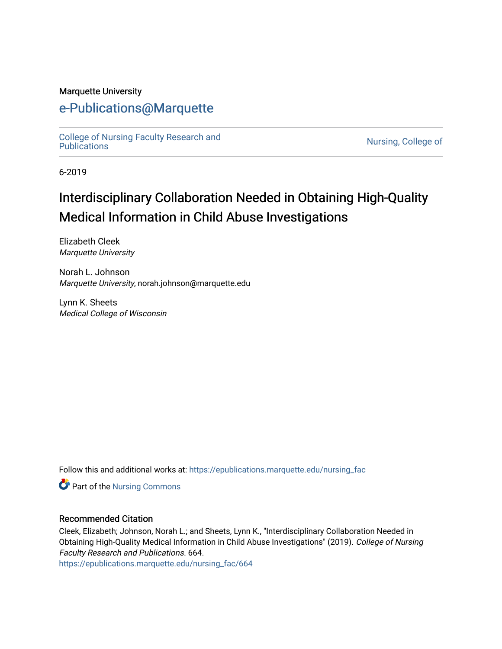#### Marquette University

# [e-Publications@Marquette](https://epublications.marquette.edu/)

[College of Nursing Faculty Research and](https://epublications.marquette.edu/nursing_fac)<br>Publications

Nursing, College of

6-2019

# Interdisciplinary Collaboration Needed in Obtaining High-Quality Medical Information in Child Abuse Investigations

Elizabeth Cleek Marquette University

Norah L. Johnson Marquette University, norah.johnson@marquette.edu

Lynn K. Sheets Medical College of Wisconsin

Follow this and additional works at: [https://epublications.marquette.edu/nursing\\_fac](https://epublications.marquette.edu/nursing_fac?utm_source=epublications.marquette.edu%2Fnursing_fac%2F664&utm_medium=PDF&utm_campaign=PDFCoverPages)

Part of the [Nursing Commons](http://network.bepress.com/hgg/discipline/718?utm_source=epublications.marquette.edu%2Fnursing_fac%2F664&utm_medium=PDF&utm_campaign=PDFCoverPages) 

#### Recommended Citation

Cleek, Elizabeth; Johnson, Norah L.; and Sheets, Lynn K., "Interdisciplinary Collaboration Needed in Obtaining High-Quality Medical Information in Child Abuse Investigations" (2019). College of Nursing Faculty Research and Publications. 664.

[https://epublications.marquette.edu/nursing\\_fac/664](https://epublications.marquette.edu/nursing_fac/664?utm_source=epublications.marquette.edu%2Fnursing_fac%2F664&utm_medium=PDF&utm_campaign=PDFCoverPages)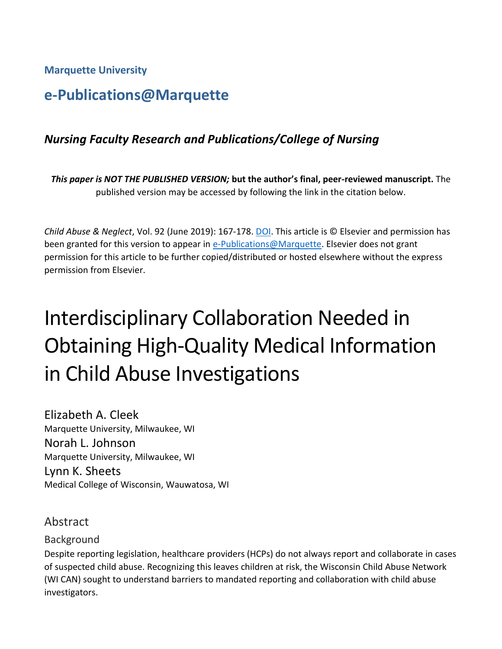**Marquette University**

# **e-Publications@Marquette**

# *Nursing Faculty Research and Publications/College of Nursing*

*This paper is NOT THE PUBLISHED VERSION;* **but the author's final, peer-reviewed manuscript.** The published version may be accessed by following the link in the citation below.

*Child Abuse & Neglect*, Vol. 92 (June 2019): 167-178. [DOI.](https://doi.org/10.1016/j.chiabu.2019.02.012) This article is © Elsevier and permission has been granted for this version to appear in [e-Publications@Marquette.](http://epublications.marquette.edu/) Elsevier does not grant permission for this article to be further copied/distributed or hosted elsewhere without the express permission from Elsevier.

# Interdisciplinary Collaboration Needed in Obtaining High-Quality Medical Information in Child Abuse Investigations

Elizabeth A. Cleek Marquette University, Milwaukee, WI Norah L. Johnson Marquette University, Milwaukee, WI Lynn K. Sheets Medical College of Wisconsin, Wauwatosa, WI

# Abstract

#### Background

Despite reporting legislation, healthcare providers (HCPs) do not always report and collaborate in cases of suspected child abuse. Recognizing this leaves children at risk, the Wisconsin Child Abuse Network (WI CAN) sought to understand barriers to mandated reporting and collaboration with child abuse investigators.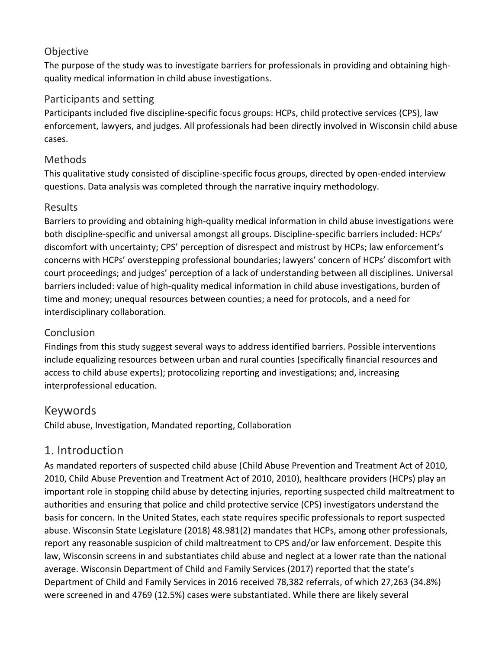# **Objective**

The purpose of the study was to investigate barriers for professionals in providing and obtaining highquality medical information in child abuse investigations.

## Participants and setting

Participants included five discipline-specific focus groups: HCPs, child protective services (CPS), law enforcement, lawyers, and judges. All professionals had been directly involved in Wisconsin child abuse cases.

## Methods

This qualitative study consisted of discipline-specific focus groups, directed by open-ended interview questions. Data analysis was completed through the narrative inquiry methodology.

## Results

Barriers to providing and obtaining high-quality medical information in child abuse investigations were both discipline-specific and universal amongst all groups. Discipline-specific barriers included: HCPs' discomfort with uncertainty; CPS' perception of disrespect and mistrust by HCPs; law enforcement's concerns with HCPs' overstepping professional boundaries; lawyers' concern of HCPs' discomfort with court proceedings; and judges' perception of a lack of understanding between all disciplines. Universal barriers included: value of high-quality medical information in child abuse investigations, burden of time and money; unequal resources between counties; a need for protocols, and a need for interdisciplinary collaboration.

# Conclusion

Findings from this study suggest several ways to address identified barriers. Possible interventions include equalizing resources between urban and rural counties (specifically financial resources and access to child abuse experts); protocolizing reporting and investigations; and, increasing interprofessional education.

# Keywords

Child abuse, Investigation, Mandated reporting, Collaboration

# 1. Introduction

As mandated reporters of suspected child abuse (Child Abuse Prevention and Treatment Act of 2010, 2010, Child Abuse Prevention and Treatment Act of 2010, 2010), healthcare providers (HCPs) play an important role in stopping child abuse by detecting injuries, reporting suspected child maltreatment to authorities and ensuring that police and child protective service (CPS) investigators understand the basis for concern. In the United States, each state requires specific professionals to report suspected abuse. Wisconsin State Legislature (2018) 48.981(2) mandates that HCPs, among other professionals, report any reasonable suspicion of child maltreatment to CPS and/or law enforcement. Despite this law, Wisconsin screens in and substantiates child abuse and neglect at a lower rate than the national average. Wisconsin Department of Child and Family Services (2017) reported that the state's Department of Child and Family Services in 2016 received 78,382 referrals, of which 27,263 (34.8%) were screened in and 4769 (12.5%) cases were substantiated. While there are likely several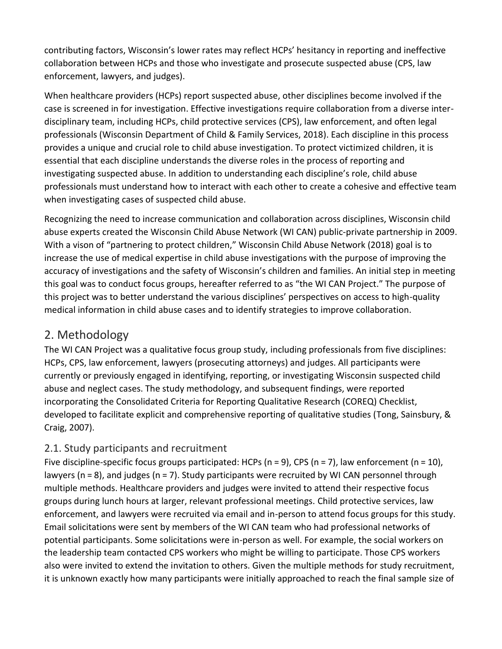contributing factors, Wisconsin's lower rates may reflect HCPs' hesitancy in reporting and ineffective collaboration between HCPs and those who investigate and prosecute suspected abuse (CPS, law enforcement, lawyers, and judges).

When healthcare providers (HCPs) report suspected abuse, other disciplines become involved if the case is screened in for investigation. Effective investigations require collaboration from a diverse interdisciplinary team, including HCPs, child protective services (CPS), law enforcement, and often legal professionals (Wisconsin Department of Child & Family Services, 2018). Each discipline in this process provides a unique and crucial role to child abuse investigation. To protect victimized children, it is essential that each discipline understands the diverse roles in the process of reporting and investigating suspected abuse. In addition to understanding each discipline's role, child abuse professionals must understand how to interact with each other to create a cohesive and effective team when investigating cases of suspected child abuse.

Recognizing the need to increase communication and collaboration across disciplines, Wisconsin child abuse experts created the Wisconsin Child Abuse Network (WI CAN) public-private partnership in 2009. With a vison of "partnering to protect children," Wisconsin Child Abuse Network (2018) goal is to increase the use of medical expertise in child abuse investigations with the purpose of improving the accuracy of investigations and the safety of Wisconsin's children and families. An initial step in meeting this goal was to conduct focus groups, hereafter referred to as "the WI CAN Project." The purpose of this project was to better understand the various disciplines' perspectives on access to high-quality medical information in child abuse cases and to identify strategies to improve collaboration.

# 2. Methodology

The WI CAN Project was a qualitative focus group study, including professionals from five disciplines: HCPs, CPS, law enforcement, lawyers (prosecuting attorneys) and judges. All participants were currently or previously engaged in identifying, reporting, or investigating Wisconsin suspected child abuse and neglect cases. The study methodology, and subsequent findings, were reported incorporating the Consolidated Criteria for Reporting Qualitative Research (COREQ) Checklist, developed to facilitate explicit and comprehensive reporting of qualitative studies (Tong, Sainsbury, & Craig, 2007).

# 2.1. Study participants and recruitment

Five discipline-specific focus groups participated: HCPs (n = 9), CPS (n = 7), law enforcement (n = 10), lawyers (n = 8), and judges (n = 7). Study participants were recruited by WI CAN personnel through multiple methods. Healthcare providers and judges were invited to attend their respective focus groups during lunch hours at larger, relevant professional meetings. Child protective services, law enforcement, and lawyers were recruited via email and in-person to attend focus groups for this study. Email solicitations were sent by members of the WI CAN team who had professional networks of potential participants. Some solicitations were in-person as well. For example, the social workers on the leadership team contacted CPS workers who might be willing to participate. Those CPS workers also were invited to extend the invitation to others. Given the multiple methods for study recruitment, it is unknown exactly how many participants were initially approached to reach the final sample size of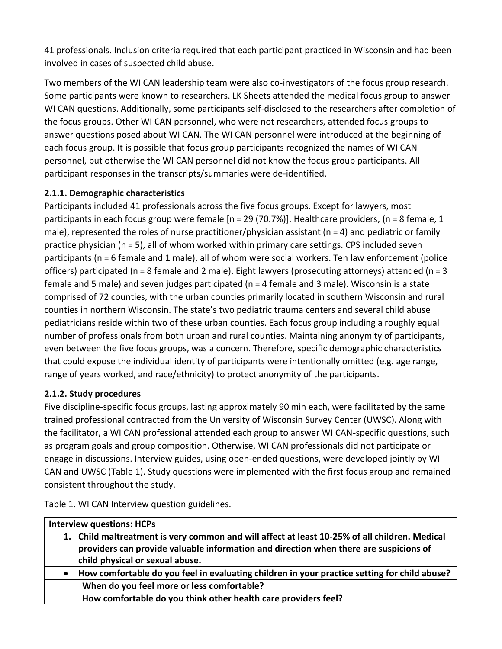41 professionals. Inclusion criteria required that each participant practiced in Wisconsin and had been involved in cases of suspected child abuse.

Two members of the WI CAN leadership team were also co-investigators of the focus group research. Some participants were known to researchers. LK Sheets attended the medical focus group to answer WI CAN questions. Additionally, some participants self-disclosed to the researchers after completion of the focus groups. Other WI CAN personnel, who were not researchers, attended focus groups to answer questions posed about WI CAN. The WI CAN personnel were introduced at the beginning of each focus group. It is possible that focus group participants recognized the names of WI CAN personnel, but otherwise the WI CAN personnel did not know the focus group participants. All participant responses in the transcripts/summaries were de-identified.

#### **2.1.1. Demographic characteristics**

Participants included 41 professionals across the five focus groups. Except for lawyers, most participants in each focus group were female [n = 29 (70.7%)]. Healthcare providers, (n = 8 female, 1 male), represented the roles of nurse practitioner/physician assistant (n = 4) and pediatric or family practice physician (n = 5), all of whom worked within primary care settings. CPS included seven participants (n = 6 female and 1 male), all of whom were social workers. Ten law enforcement (police officers) participated (n = 8 female and 2 male). Eight lawyers (prosecuting attorneys) attended (n = 3 female and 5 male) and seven judges participated (n = 4 female and 3 male). Wisconsin is a state comprised of 72 counties, with the urban counties primarily located in southern Wisconsin and rural counties in northern Wisconsin. The state's two pediatric trauma centers and several child abuse pediatricians reside within two of these urban counties. Each focus group including a roughly equal number of professionals from both urban and rural counties. Maintaining anonymity of participants, even between the five focus groups, was a concern. Therefore, specific demographic characteristics that could expose the individual identity of participants were intentionally omitted (e.g. age range, range of years worked, and race/ethnicity) to protect anonymity of the participants.

#### **2.1.2. Study procedures**

Five discipline-specific focus groups, lasting approximately 90 min each, were facilitated by the same trained professional contracted from the University of Wisconsin Survey Center (UWSC). Along with the facilitator, a WI CAN professional attended each group to answer WI CAN-specific questions, such as program goals and group composition. Otherwise, WI CAN professionals did not participate or engage in discussions. Interview guides, using open-ended questions, were developed jointly by WI CAN and UWSC (Table 1). Study questions were implemented with the first focus group and remained consistent throughout the study.

Table 1. WI CAN Interview question guidelines.

| <b>Interview questions: HCPs</b>                                                                          |  |  |
|-----------------------------------------------------------------------------------------------------------|--|--|
| 1. Child maltreatment is very common and will affect at least 10-25% of all children. Medical             |  |  |
| providers can provide valuable information and direction when there are suspicions of                     |  |  |
| child physical or sexual abuse.                                                                           |  |  |
| How comfortable do you feel in evaluating children in your practice setting for child abuse?<br>$\bullet$ |  |  |
| When do you feel more or less comfortable?                                                                |  |  |
| How comfortable do you think other health care providers feel?                                            |  |  |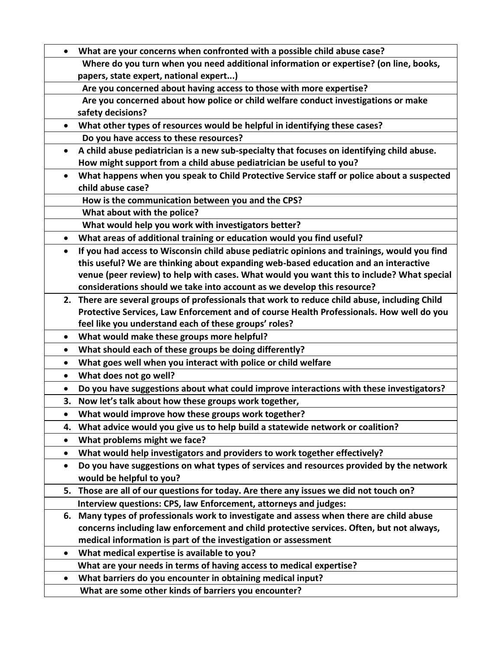|           | What are your concerns when confronted with a possible child abuse case?                      |  |  |
|-----------|-----------------------------------------------------------------------------------------------|--|--|
|           | Where do you turn when you need additional information or expertise? (on line, books,         |  |  |
|           | papers, state expert, national expert)                                                        |  |  |
|           | Are you concerned about having access to those with more expertise?                           |  |  |
|           | Are you concerned about how police or child welfare conduct investigations or make            |  |  |
|           | safety decisions?                                                                             |  |  |
| $\bullet$ | What other types of resources would be helpful in identifying these cases?                    |  |  |
|           | Do you have access to these resources?                                                        |  |  |
| $\bullet$ | A child abuse pediatrician is a new sub-specialty that focuses on identifying child abuse.    |  |  |
|           | How might support from a child abuse pediatrician be useful to you?                           |  |  |
| $\bullet$ | What happens when you speak to Child Protective Service staff or police about a suspected     |  |  |
|           | child abuse case?                                                                             |  |  |
|           | How is the communication between you and the CPS?                                             |  |  |
|           | What about with the police?                                                                   |  |  |
|           | What would help you work with investigators better?                                           |  |  |
| $\bullet$ | What areas of additional training or education would you find useful?                         |  |  |
| $\bullet$ | If you had access to Wisconsin child abuse pediatric opinions and trainings, would you find   |  |  |
|           | this useful? We are thinking about expanding web-based education and an interactive           |  |  |
|           | venue (peer review) to help with cases. What would you want this to include? What special     |  |  |
|           | considerations should we take into account as we develop this resource?                       |  |  |
|           | 2. There are several groups of professionals that work to reduce child abuse, including Child |  |  |
|           | Protective Services, Law Enforcement and of course Health Professionals. How well do you      |  |  |
|           | feel like you understand each of these groups' roles?                                         |  |  |
| $\bullet$ | What would make these groups more helpful?                                                    |  |  |
| $\bullet$ | What should each of these groups be doing differently?                                        |  |  |
| $\bullet$ | What goes well when you interact with police or child welfare                                 |  |  |
| $\bullet$ | What does not go well?                                                                        |  |  |
| $\bullet$ | Do you have suggestions about what could improve interactions with these investigators?       |  |  |
| 3.        | Now let's talk about how these groups work together,                                          |  |  |
|           | What would improve how these groups work together?                                            |  |  |
| 4.        | What advice would you give us to help build a statewide network or coalition?                 |  |  |
|           | What problems might we face?                                                                  |  |  |
| $\bullet$ | What would help investigators and providers to work together effectively?                     |  |  |
| $\bullet$ | Do you have suggestions on what types of services and resources provided by the network       |  |  |
|           | would be helpful to you?                                                                      |  |  |
| 5.        | Those are all of our questions for today. Are there any issues we did not touch on?           |  |  |
|           | Interview questions: CPS, law Enforcement, attorneys and judges:                              |  |  |
|           | 6. Many types of professionals work to investigate and assess when there are child abuse      |  |  |
|           | concerns including law enforcement and child protective services. Often, but not always,      |  |  |
|           | medical information is part of the investigation or assessment                                |  |  |
|           | What medical expertise is available to you?                                                   |  |  |
|           | What are your needs in terms of having access to medical expertise?                           |  |  |
| $\bullet$ | What barriers do you encounter in obtaining medical input?                                    |  |  |
|           | What are some other kinds of barriers you encounter?                                          |  |  |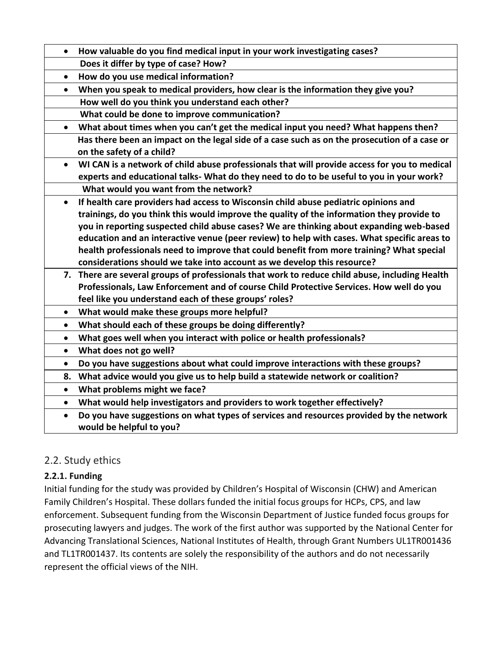| $\bullet$ | How valuable do you find medical input in your work investigating cases?                                                  |
|-----------|---------------------------------------------------------------------------------------------------------------------------|
|           | Does it differ by type of case? How?                                                                                      |
| $\bullet$ | How do you use medical information?                                                                                       |
| $\bullet$ | When you speak to medical providers, how clear is the information they give you?                                          |
|           | How well do you think you understand each other?                                                                          |
|           | What could be done to improve communication?                                                                              |
| $\bullet$ | What about times when you can't get the medical input you need? What happens then?                                        |
|           | Has there been an impact on the legal side of a case such as on the prosecution of a case or<br>on the safety of a child? |
| $\bullet$ | WI CAN is a network of child abuse professionals that will provide access for you to medical                              |
|           | experts and educational talks- What do they need to do to be useful to you in your work?                                  |
|           | What would you want from the network?                                                                                     |
| $\bullet$ | If health care providers had access to Wisconsin child abuse pediatric opinions and                                       |
|           | trainings, do you think this would improve the quality of the information they provide to                                 |
|           | you in reporting suspected child abuse cases? We are thinking about expanding web-based                                   |
|           | education and an interactive venue (peer review) to help with cases. What specific areas to                               |
|           | health professionals need to improve that could benefit from more training? What special                                  |
|           | considerations should we take into account as we develop this resource?                                                   |
|           | 7. There are several groups of professionals that work to reduce child abuse, including Health                            |
|           | Professionals, Law Enforcement and of course Child Protective Services. How well do you                                   |
|           | feel like you understand each of these groups' roles?                                                                     |
| $\bullet$ | What would make these groups more helpful?                                                                                |
| $\bullet$ | What should each of these groups be doing differently?                                                                    |
| $\bullet$ | What goes well when you interact with police or health professionals?                                                     |
| $\bullet$ | What does not go well?                                                                                                    |
| $\bullet$ | Do you have suggestions about what could improve interactions with these groups?                                          |
| 8.        | What advice would you give us to help build a statewide network or coalition?                                             |
| $\bullet$ | What problems might we face?                                                                                              |
| $\bullet$ | What would help investigators and providers to work together effectively?                                                 |
| $\bullet$ | Do you have suggestions on what types of services and resources provided by the network                                   |
|           | would be helpful to you?                                                                                                  |
|           |                                                                                                                           |

# 2.2. Study ethics

#### **2.2.1. Funding**

Initial funding for the study was provided by Children's Hospital of Wisconsin (CHW) and American Family Children's Hospital. These dollars funded the initial focus groups for HCPs, CPS, and law enforcement. Subsequent funding from the Wisconsin Department of Justice funded focus groups for prosecuting lawyers and judges. The work of the first author was supported by the National Center for Advancing Translational Sciences, National Institutes of Health, through Grant Numbers UL1TR001436 and TL1TR001437. Its contents are solely the responsibility of the authors and do not necessarily represent the official views of the NIH.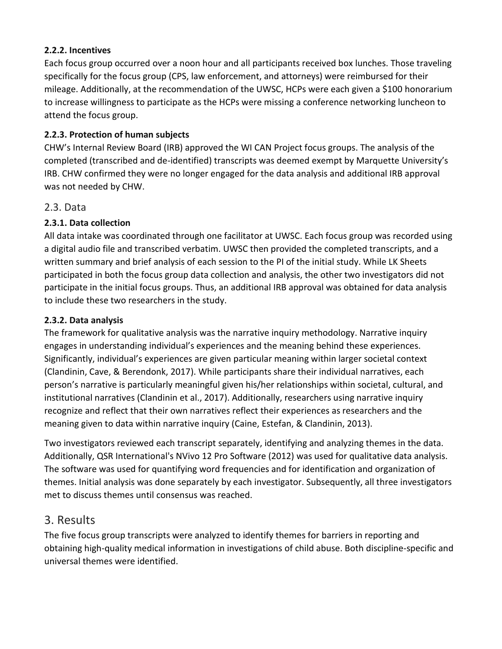#### **2.2.2. Incentives**

Each focus group occurred over a noon hour and all participants received box lunches. Those traveling specifically for the focus group (CPS, law enforcement, and attorneys) were reimbursed for their mileage. Additionally, at the recommendation of the UWSC, HCPs were each given a \$100 honorarium to increase willingness to participate as the HCPs were missing a conference networking luncheon to attend the focus group.

## **2.2.3. Protection of human subjects**

CHW's Internal Review Board (IRB) approved the WI CAN Project focus groups. The analysis of the completed (transcribed and de-identified) transcripts was deemed exempt by Marquette University's IRB. CHW confirmed they were no longer engaged for the data analysis and additional IRB approval was not needed by CHW.

# 2.3. Data

# **2.3.1. Data collection**

All data intake was coordinated through one facilitator at UWSC. Each focus group was recorded using a digital audio file and transcribed verbatim. UWSC then provided the completed transcripts, and a written summary and brief analysis of each session to the PI of the initial study. While LK Sheets participated in both the focus group data collection and analysis, the other two investigators did not participate in the initial focus groups. Thus, an additional IRB approval was obtained for data analysis to include these two researchers in the study.

## **2.3.2. Data analysis**

The framework for qualitative analysis was the narrative inquiry methodology. Narrative inquiry engages in understanding individual's experiences and the meaning behind these experiences. Significantly, individual's experiences are given particular meaning within larger societal context (Clandinin, Cave, & Berendonk, 2017). While participants share their individual narratives, each person's narrative is particularly meaningful given his/her relationships within societal, cultural, and institutional narratives (Clandinin et al., 2017). Additionally, researchers using narrative inquiry recognize and reflect that their own narratives reflect their experiences as researchers and the meaning given to data within narrative inquiry (Caine, Estefan, & Clandinin, 2013).

Two investigators reviewed each transcript separately, identifying and analyzing themes in the data. Additionally, QSR International's NVivo 12 Pro Software (2012) was used for qualitative data analysis. The software was used for quantifying word frequencies and for identification and organization of themes. Initial analysis was done separately by each investigator. Subsequently, all three investigators met to discuss themes until consensus was reached.

# 3. Results

The five focus group transcripts were analyzed to identify themes for barriers in reporting and obtaining high-quality medical information in investigations of child abuse. Both discipline-specific and universal themes were identified.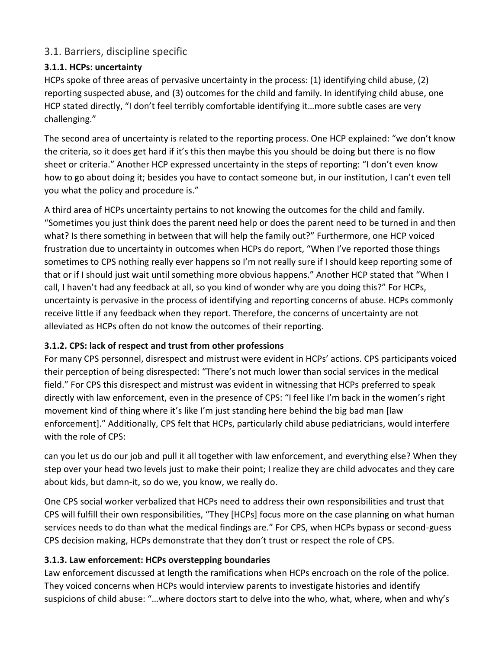## 3.1. Barriers, discipline specific

#### **3.1.1. HCPs: uncertainty**

HCPs spoke of three areas of pervasive uncertainty in the process: (1) identifying child abuse, (2) reporting suspected abuse, and (3) outcomes for the child and family. In identifying child abuse, one HCP stated directly, "I don't feel terribly comfortable identifying it…more subtle cases are very challenging."

The second area of uncertainty is related to the reporting process. One HCP explained: "we don't know the criteria, so it does get hard if it's this then maybe this you should be doing but there is no flow sheet or criteria." Another HCP expressed uncertainty in the steps of reporting: "I don't even know how to go about doing it; besides you have to contact someone but, in our institution, I can't even tell you what the policy and procedure is."

A third area of HCPs uncertainty pertains to not knowing the outcomes for the child and family. "Sometimes you just think does the parent need help or does the parent need to be turned in and then what? Is there something in between that will help the family out?" Furthermore, one HCP voiced frustration due to uncertainty in outcomes when HCPs do report, "When I've reported those things sometimes to CPS nothing really ever happens so I'm not really sure if I should keep reporting some of that or if I should just wait until something more obvious happens." Another HCP stated that "When I call, I haven't had any feedback at all, so you kind of wonder why are you doing this?" For HCPs, uncertainty is pervasive in the process of identifying and reporting concerns of abuse. HCPs commonly receive little if any feedback when they report. Therefore, the concerns of uncertainty are not alleviated as HCPs often do not know the outcomes of their reporting.

#### **3.1.2. CPS: lack of respect and trust from other professions**

For many CPS personnel, disrespect and mistrust were evident in HCPs' actions. CPS participants voiced their perception of being disrespected: "There's not much lower than social services in the medical field." For CPS this disrespect and mistrust was evident in witnessing that HCPs preferred to speak directly with law enforcement, even in the presence of CPS: "I feel like I'm back in the women's right movement kind of thing where it's like I'm just standing here behind the big bad man [law enforcement]." Additionally, CPS felt that HCPs, particularly child abuse pediatricians, would interfere with the role of CPS:

can you let us do our job and pull it all together with law enforcement, and everything else? When they step over your head two levels just to make their point; I realize they are child advocates and they care about kids, but damn-it, so do we, you know, we really do.

One CPS social worker verbalized that HCPs need to address their own responsibilities and trust that CPS will fulfill their own responsibilities, "They [HCPs] focus more on the case planning on what human services needs to do than what the medical findings are." For CPS, when HCPs bypass or second-guess CPS decision making, HCPs demonstrate that they don't trust or respect the role of CPS.

#### **3.1.3. Law enforcement: HCPs overstepping boundaries**

Law enforcement discussed at length the ramifications when HCPs encroach on the role of the police. They voiced concerns when HCPs would interview parents to investigate histories and identify suspicions of child abuse: "…where doctors start to delve into the who, what, where, when and why's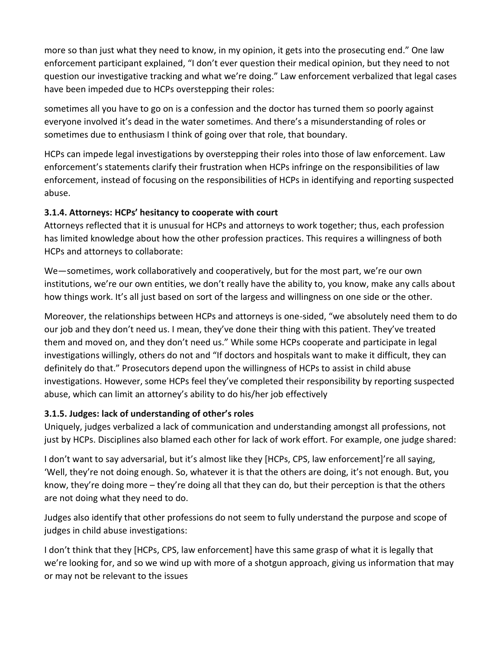more so than just what they need to know, in my opinion, it gets into the prosecuting end." One law enforcement participant explained, "I don't ever question their medical opinion, but they need to not question our investigative tracking and what we're doing." Law enforcement verbalized that legal cases have been impeded due to HCPs overstepping their roles:

sometimes all you have to go on is a confession and the doctor has turned them so poorly against everyone involved it's dead in the water sometimes. And there's a misunderstanding of roles or sometimes due to enthusiasm I think of going over that role, that boundary.

HCPs can impede legal investigations by overstepping their roles into those of law enforcement. Law enforcement's statements clarify their frustration when HCPs infringe on the responsibilities of law enforcement, instead of focusing on the responsibilities of HCPs in identifying and reporting suspected abuse.

#### **3.1.4. Attorneys: HCPs' hesitancy to cooperate with court**

Attorneys reflected that it is unusual for HCPs and attorneys to work together; thus, each profession has limited knowledge about how the other profession practices. This requires a willingness of both HCPs and attorneys to collaborate:

We—sometimes, work collaboratively and cooperatively, but for the most part, we're our own institutions, we're our own entities, we don't really have the ability to, you know, make any calls about how things work. It's all just based on sort of the largess and willingness on one side or the other.

Moreover, the relationships between HCPs and attorneys is one-sided, "we absolutely need them to do our job and they don't need us. I mean, they've done their thing with this patient. They've treated them and moved on, and they don't need us." While some HCPs cooperate and participate in legal investigations willingly, others do not and "If doctors and hospitals want to make it difficult, they can definitely do that." Prosecutors depend upon the willingness of HCPs to assist in child abuse investigations. However, some HCPs feel they've completed their responsibility by reporting suspected abuse, which can limit an attorney's ability to do his/her job effectively

#### **3.1.5. Judges: lack of understanding of other's roles**

Uniquely, judges verbalized a lack of communication and understanding amongst all professions, not just by HCPs. Disciplines also blamed each other for lack of work effort. For example, one judge shared:

I don't want to say adversarial, but it's almost like they [HCPs, CPS, law enforcement]'re all saying, 'Well, they're not doing enough. So, whatever it is that the others are doing, it's not enough. But, you know, they're doing more – they're doing all that they can do, but their perception is that the others are not doing what they need to do.

Judges also identify that other professions do not seem to fully understand the purpose and scope of judges in child abuse investigations:

I don't think that they [HCPs, CPS, law enforcement] have this same grasp of what it is legally that we're looking for, and so we wind up with more of a shotgun approach, giving us information that may or may not be relevant to the issues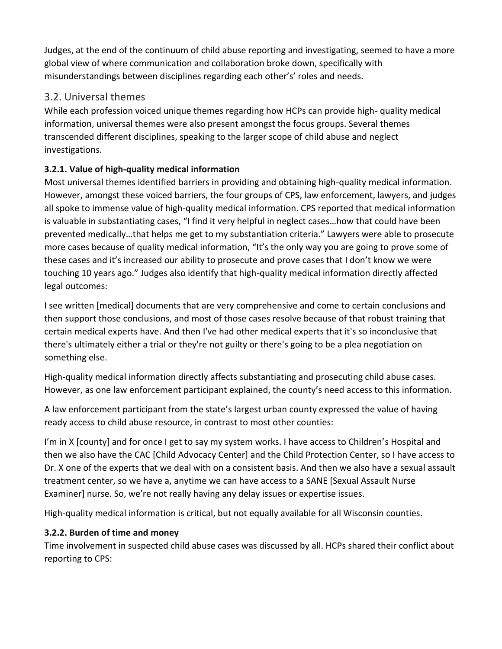Judges, at the end of the continuum of child abuse reporting and investigating, seemed to have a more global view of where communication and collaboration broke down, specifically with misunderstandings between disciplines regarding each other's' roles and needs.

# 3.2. Universal themes

While each profession voiced unique themes regarding how HCPs can provide high- quality medical information, universal themes were also present amongst the focus groups. Several themes transcended different disciplines, speaking to the larger scope of child abuse and neglect investigations.

# **3.2.1. Value of high-quality medical information**

Most universal themes identified barriers in providing and obtaining high-quality medical information. However, amongst these voiced barriers, the four groups of CPS, law enforcement, lawyers, and judges all spoke to immense value of high-quality medical information. CPS reported that medical information is valuable in substantiating cases, "I find it very helpful in neglect cases…how that could have been prevented medically…that helps me get to my substantiation criteria." Lawyers were able to prosecute more cases because of quality medical information, "It's the only way you are going to prove some of these cases and it's increased our ability to prosecute and prove cases that I don't know we were touching 10 years ago." Judges also identify that high-quality medical information directly affected legal outcomes:

I see written [medical] documents that are very comprehensive and come to certain conclusions and then support those conclusions, and most of those cases resolve because of that robust training that certain medical experts have. And then I've had other medical experts that it's so inconclusive that there's ultimately either a trial or they're not guilty or there's going to be a plea negotiation on something else.

High-quality medical information directly affects substantiating and prosecuting child abuse cases. However, as one law enforcement participant explained, the county's need access to this information.

A law enforcement participant from the state's largest urban county expressed the value of having ready access to child abuse resource, in contrast to most other counties:

I'm in X [county] and for once I get to say my system works. I have access to Children's Hospital and then we also have the CAC [Child Advocacy Center] and the Child Protection Center, so I have access to Dr. X one of the experts that we deal with on a consistent basis. And then we also have a sexual assault treatment center, so we have a, anytime we can have access to a SANE [Sexual Assault Nurse Examiner] nurse. So, we're not really having any delay issues or expertise issues.

High-quality medical information is critical, but not equally available for all Wisconsin counties.

#### **3.2.2. Burden of time and money**

Time involvement in suspected child abuse cases was discussed by all. HCPs shared their conflict about reporting to CPS: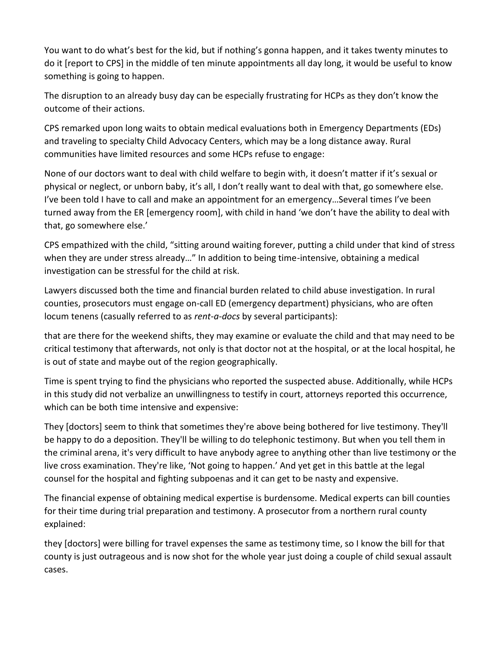You want to do what's best for the kid, but if nothing's gonna happen, and it takes twenty minutes to do it [report to CPS] in the middle of ten minute appointments all day long, it would be useful to know something is going to happen.

The disruption to an already busy day can be especially frustrating for HCPs as they don't know the outcome of their actions.

CPS remarked upon long waits to obtain medical evaluations both in Emergency Departments (EDs) and traveling to specialty Child Advocacy Centers, which may be a long distance away. Rural communities have limited resources and some HCPs refuse to engage:

None of our doctors want to deal with child welfare to begin with, it doesn't matter if it's sexual or physical or neglect, or unborn baby, it's all, I don't really want to deal with that, go somewhere else. I've been told I have to call and make an appointment for an emergency…Several times I've been turned away from the ER [emergency room], with child in hand 'we don't have the ability to deal with that, go somewhere else.'

CPS empathized with the child, "sitting around waiting forever, putting a child under that kind of stress when they are under stress already…" In addition to being time-intensive, obtaining a medical investigation can be stressful for the child at risk.

Lawyers discussed both the time and financial burden related to child abuse investigation. In rural counties, prosecutors must engage on-call ED (emergency department) physicians, who are often locum tenens (casually referred to as *rent-a-docs* by several participants):

that are there for the weekend shifts, they may examine or evaluate the child and that may need to be critical testimony that afterwards, not only is that doctor not at the hospital, or at the local hospital, he is out of state and maybe out of the region geographically.

Time is spent trying to find the physicians who reported the suspected abuse. Additionally, while HCPs in this study did not verbalize an unwillingness to testify in court, attorneys reported this occurrence, which can be both time intensive and expensive:

They [doctors] seem to think that sometimes they're above being bothered for live testimony. They'll be happy to do a deposition. They'll be willing to do telephonic testimony. But when you tell them in the criminal arena, it's very difficult to have anybody agree to anything other than live testimony or the live cross examination. They're like, 'Not going to happen.' And yet get in this battle at the legal counsel for the hospital and fighting subpoenas and it can get to be nasty and expensive.

The financial expense of obtaining medical expertise is burdensome. Medical experts can bill counties for their time during trial preparation and testimony. A prosecutor from a northern rural county explained:

they [doctors] were billing for travel expenses the same as testimony time, so I know the bill for that county is just outrageous and is now shot for the whole year just doing a couple of child sexual assault cases.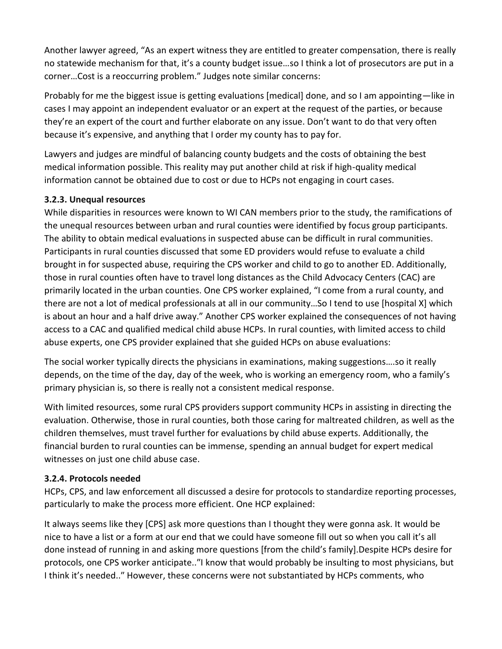Another lawyer agreed, "As an expert witness they are entitled to greater compensation, there is really no statewide mechanism for that, it's a county budget issue…so I think a lot of prosecutors are put in a corner…Cost is a reoccurring problem." Judges note similar concerns:

Probably for me the biggest issue is getting evaluations [medical] done, and so I am appointing—like in cases I may appoint an independent evaluator or an expert at the request of the parties, or because they're an expert of the court and further elaborate on any issue. Don't want to do that very often because it's expensive, and anything that I order my county has to pay for.

Lawyers and judges are mindful of balancing county budgets and the costs of obtaining the best medical information possible. This reality may put another child at risk if high-quality medical information cannot be obtained due to cost or due to HCPs not engaging in court cases.

#### **3.2.3. Unequal resources**

While disparities in resources were known to WI CAN members prior to the study, the ramifications of the unequal resources between urban and rural counties were identified by focus group participants. The ability to obtain medical evaluations in suspected abuse can be difficult in rural communities. Participants in rural counties discussed that some ED providers would refuse to evaluate a child brought in for suspected abuse, requiring the CPS worker and child to go to another ED. Additionally, those in rural counties often have to travel long distances as the Child Advocacy Centers (CAC) are primarily located in the urban counties. One CPS worker explained, "I come from a rural county, and there are not a lot of medical professionals at all in our community…So I tend to use [hospital X] which is about an hour and a half drive away." Another CPS worker explained the consequences of not having access to a CAC and qualified medical child abuse HCPs. In rural counties, with limited access to child abuse experts, one CPS provider explained that she guided HCPs on abuse evaluations:

The social worker typically directs the physicians in examinations, making suggestions….so it really depends, on the time of the day, day of the week, who is working an emergency room, who a family's primary physician is, so there is really not a consistent medical response.

With limited resources, some rural CPS providers support community HCPs in assisting in directing the evaluation. Otherwise, those in rural counties, both those caring for maltreated children, as well as the children themselves, must travel further for evaluations by child abuse experts. Additionally, the financial burden to rural counties can be immense, spending an annual budget for expert medical witnesses on just one child abuse case.

#### **3.2.4. Protocols needed**

HCPs, CPS, and law enforcement all discussed a desire for protocols to standardize reporting processes, particularly to make the process more efficient. One HCP explained:

It always seems like they [CPS] ask more questions than I thought they were gonna ask. It would be nice to have a list or a form at our end that we could have someone fill out so when you call it's all done instead of running in and asking more questions [from the child's family].Despite HCPs desire for protocols, one CPS worker anticipate..″I know that would probably be insulting to most physicians, but I think it's needed..″ However, these concerns were not substantiated by HCPs comments, who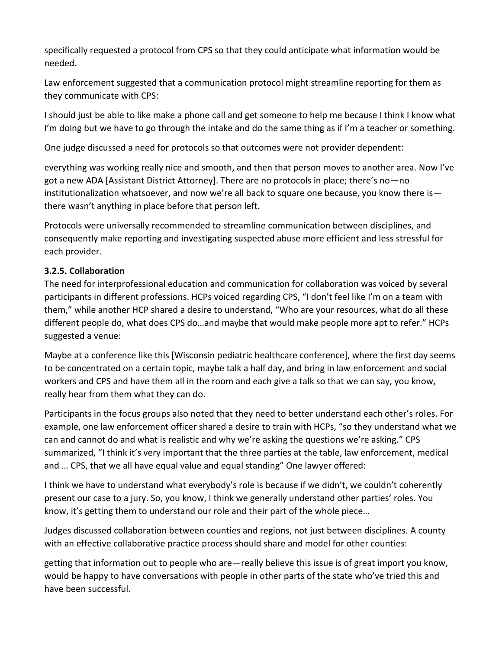specifically requested a protocol from CPS so that they could anticipate what information would be needed.

Law enforcement suggested that a communication protocol might streamline reporting for them as they communicate with CPS:

I should just be able to like make a phone call and get someone to help me because I think I know what I'm doing but we have to go through the intake and do the same thing as if I'm a teacher or something.

One judge discussed a need for protocols so that outcomes were not provider dependent:

everything was working really nice and smooth, and then that person moves to another area. Now I've got a new ADA [Assistant District Attorney]. There are no protocols in place; there's no—no institutionalization whatsoever, and now we're all back to square one because, you know there is there wasn't anything in place before that person left.

Protocols were universally recommended to streamline communication between disciplines, and consequently make reporting and investigating suspected abuse more efficient and less stressful for each provider.

#### **3.2.5. Collaboration**

The need for interprofessional education and communication for collaboration was voiced by several participants in different professions. HCPs voiced regarding CPS, "I don't feel like I'm on a team with them," while another HCP shared a desire to understand, "Who are your resources, what do all these different people do, what does CPS do…and maybe that would make people more apt to refer." HCPs suggested a venue:

Maybe at a conference like this [Wisconsin pediatric healthcare conference], where the first day seems to be concentrated on a certain topic, maybe talk a half day, and bring in law enforcement and social workers and CPS and have them all in the room and each give a talk so that we can say, you know, really hear from them what they can do.

Participants in the focus groups also noted that they need to better understand each other's roles. For example, one law enforcement officer shared a desire to train with HCPs, "so they understand what we can and cannot do and what is realistic and why we're asking the questions we're asking." CPS summarized, "I think it's very important that the three parties at the table, law enforcement, medical and … CPS, that we all have equal value and equal standing" One lawyer offered:

I think we have to understand what everybody's role is because if we didn't, we couldn't coherently present our case to a jury. So, you know, I think we generally understand other parties' roles. You know, it's getting them to understand our role and their part of the whole piece…

Judges discussed collaboration between counties and regions, not just between disciplines. A county with an effective collaborative practice process should share and model for other counties:

getting that information out to people who are—really believe this issue is of great import you know, would be happy to have conversations with people in other parts of the state who've tried this and have been successful.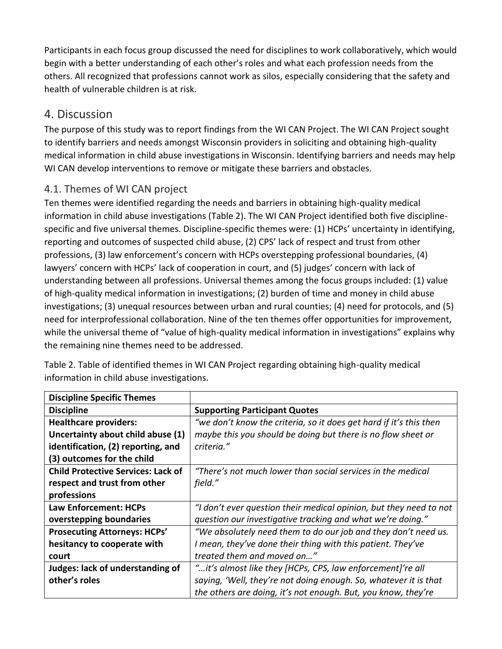Participants in each focus group discussed the need for disciplines to work collaboratively, which would begin with a better understanding of each other's roles and what each profession needs from the others. All recognized that professions cannot work as silos, especially considering that the safety and health of vulnerable children is at risk.

# 4. Discussion

The purpose of this study was to report findings from the WI CAN Project. The WI CAN Project sought to identify barriers and needs amongst Wisconsin providers in soliciting and obtaining high-quality medical information in child abuse investigations in Wisconsin. Identifying barriers and needs may help WI CAN develop interventions to remove or mitigate these barriers and obstacles.

# 4.1. Themes of WI CAN project

Ten themes were identified regarding the needs and barriers in obtaining high-quality medical information in child abuse investigations (Table 2). The WI CAN Project identified both five disciplinespecific and five universal themes. Discipline-specific themes were: (1) HCPs' uncertainty in identifying, reporting and outcomes of suspected child abuse, (2) CPS' lack of respect and trust from other professions, (3) law enforcement's concern with HCPs overstepping professional boundaries, (4) lawyers' concern with HCPs' lack of cooperation in court, and (5) judges' concern with lack of understanding between all professions. Universal themes among the focus groups included: (1) value of high-quality medical information in investigations; (2) burden of time and money in child abuse investigations; (3) unequal resources between urban and rural counties; (4) need for protocols, and (5) need for interprofessional collaboration. Nine of the ten themes offer opportunities for improvement, while the universal theme of "value of high-quality medical information in investigations" explains why the remaining nine themes need to be addressed.

| <b>Discipline Specific Themes</b>         |                                                                    |
|-------------------------------------------|--------------------------------------------------------------------|
| <b>Discipline</b>                         | <b>Supporting Participant Quotes</b>                               |
| <b>Healthcare providers:</b>              | "we don't know the criteria, so it does get hard if it's this then |
| Uncertainty about child abuse (1)         | maybe this you should be doing but there is no flow sheet or       |
| identification, (2) reporting, and        | criteria."                                                         |
| (3) outcomes for the child                |                                                                    |
| <b>Child Protective Services: Lack of</b> | "There's not much lower than social services in the medical        |
| respect and trust from other              | field."                                                            |
| professions                               |                                                                    |
| Law Enforcement: HCPs                     | "I don't ever question their medical opinion, but they need to not |
| overstepping boundaries                   | question our investigative tracking and what we're doing."         |
| <b>Prosecuting Attorneys: HCPs'</b>       | "We absolutely need them to do our job and they don't need us.     |
| hesitancy to cooperate with               | I mean, they've done their thing with this patient. They've        |
| court                                     | treated them and moved on"                                         |
| Judges: lack of understanding of          | "it's almost like they [HCPs, CPS, law enforcement]'re all         |
| other's roles                             | saying, 'Well, they're not doing enough. So, whatever it is that   |
|                                           | the others are doing, it's not enough. But, you know, they're      |

Table 2. Table of identified themes in WI CAN Project regarding obtaining high-quality medical information in child abuse investigations.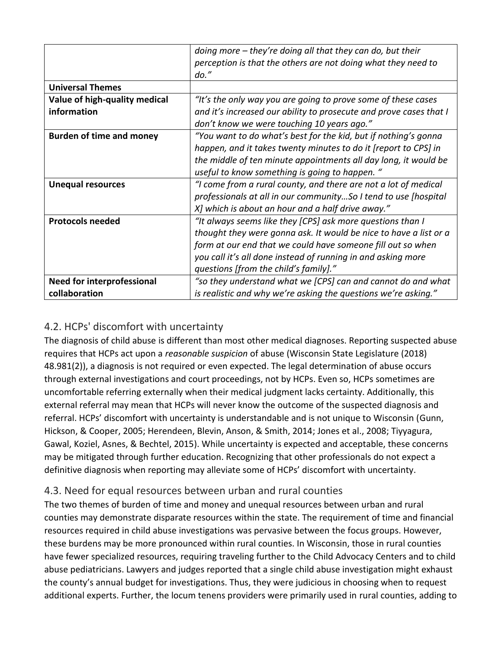|                                   | doing more $-$ they're doing all that they can do, but their<br>perception is that the others are not doing what they need to |
|-----------------------------------|-------------------------------------------------------------------------------------------------------------------------------|
|                                   | $do.$ "                                                                                                                       |
| <b>Universal Themes</b>           |                                                                                                                               |
| Value of high-quality medical     | "It's the only way you are going to prove some of these cases                                                                 |
| information                       | and it's increased our ability to prosecute and prove cases that I                                                            |
|                                   | don't know we were touching 10 years ago."                                                                                    |
| <b>Burden of time and money</b>   | "You want to do what's best for the kid, but if nothing's gonna                                                               |
|                                   | happen, and it takes twenty minutes to do it [report to CPS] in                                                               |
|                                   | the middle of ten minute appointments all day long, it would be                                                               |
|                                   | useful to know something is going to happen. "                                                                                |
| <b>Unequal resources</b>          | "I come from a rural county, and there are not a lot of medical                                                               |
|                                   | professionals at all in our communitySo I tend to use [hospital                                                               |
|                                   | X] which is about an hour and a half drive away."                                                                             |
| <b>Protocols needed</b>           | "It always seems like they [CPS] ask more questions than I                                                                    |
|                                   | thought they were gonna ask. It would be nice to have a list or a                                                             |
|                                   | form at our end that we could have someone fill out so when                                                                   |
|                                   | you call it's all done instead of running in and asking more                                                                  |
|                                   | questions [from the child's family]."                                                                                         |
| <b>Need for interprofessional</b> | "so they understand what we [CPS] can and cannot do and what                                                                  |
| collaboration                     | is realistic and why we're asking the questions we're asking."                                                                |

# 4.2. HCPs' discomfort with uncertainty

The diagnosis of child abuse is different than most other medical diagnoses. Reporting suspected abuse requires that HCPs act upon a *reasonable suspicion* of abuse (Wisconsin State Legislature (2018) 48.981(2)), a diagnosis is not required or even expected. The legal determination of abuse occurs through external investigations and court proceedings, not by HCPs. Even so, HCPs sometimes are uncomfortable referring externally when their medical judgment lacks certainty. Additionally, this external referral may mean that HCPs will never know the outcome of the suspected diagnosis and referral. HCPs' discomfort with uncertainty is understandable and is not unique to Wisconsin (Gunn, Hickson, & Cooper, 2005; Herendeen, Blevin, Anson, & Smith, 2014; Jones et al., 2008; Tiyyagura, Gawal, Koziel, Asnes, & Bechtel, 2015). While uncertainty is expected and acceptable, these concerns may be mitigated through further education. Recognizing that other professionals do not expect a definitive diagnosis when reporting may alleviate some of HCPs' discomfort with uncertainty.

# 4.3. Need for equal resources between urban and rural counties

The two themes of burden of time and money and unequal resources between urban and rural counties may demonstrate disparate resources within the state. The requirement of time and financial resources required in child abuse investigations was pervasive between the focus groups. However, these burdens may be more pronounced within rural counties. In Wisconsin, those in rural counties have fewer specialized resources, requiring traveling further to the Child Advocacy Centers and to child abuse pediatricians. Lawyers and judges reported that a single child abuse investigation might exhaust the county's annual budget for investigations. Thus, they were judicious in choosing when to request additional experts. Further, the locum tenens providers were primarily used in rural counties, adding to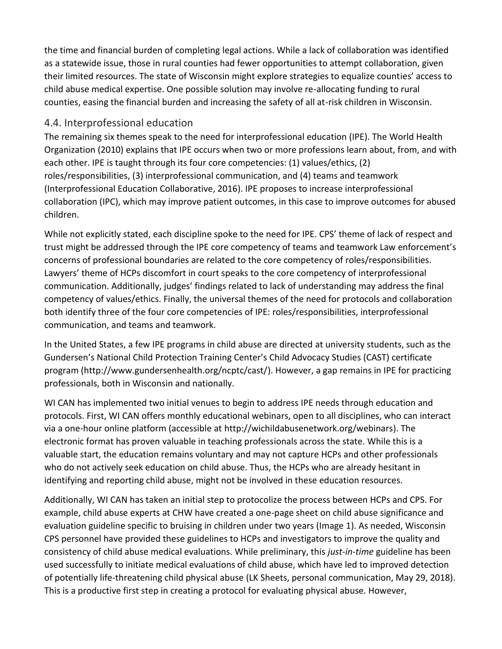the time and financial burden of completing legal actions. While a lack of collaboration was identified as a statewide issue, those in rural counties had fewer opportunities to attempt collaboration, given their limited resources. The state of Wisconsin might explore strategies to equalize counties' access to child abuse medical expertise. One possible solution may involve re-allocating funding to rural counties, easing the financial burden and increasing the safety of all at-risk children in Wisconsin.

## 4.4. Interprofessional education

The remaining six themes speak to the need for interprofessional education (IPE). The World Health Organization (2010) explains that IPE occurs when two or more professions learn about, from, and with each other. IPE is taught through its four core competencies: (1) values/ethics, (2) roles/responsibilities, (3) interprofessional communication, and (4) teams and teamwork (Interprofessional Education Collaborative, 2016). IPE proposes to increase interprofessional collaboration (IPC), which may improve patient outcomes, in this case to improve outcomes for abused children.

While not explicitly stated, each discipline spoke to the need for IPE. CPS' theme of lack of respect and trust might be addressed through the IPE core competency of teams and teamwork Law enforcement's concerns of professional boundaries are related to the core competency of roles/responsibilities. Lawyers' theme of HCPs discomfort in court speaks to the core competency of interprofessional communication. Additionally, judges' findings related to lack of understanding may address the final competency of values/ethics. Finally, the universal themes of the need for protocols and collaboration both identify three of the four core competencies of IPE: roles/responsibilities, interprofessional communication, and teams and teamwork.

In the United States, a few IPE programs in child abuse are directed at university students, such as the Gundersen's National Child Protection Training Center's Child Advocacy Studies (CAST) certificate program (http://www.gundersenhealth.org/ncptc/cast/). However, a gap remains in IPE for practicing professionals, both in Wisconsin and nationally.

WI CAN has implemented two initial venues to begin to address IPE needs through education and protocols. First, WI CAN offers monthly educational webinars, open to all disciplines, who can interact via a one-hour online platform (accessible at http://wichildabusenetwork.org/webinars). The electronic format has proven valuable in teaching professionals across the state. While this is a valuable start, the education remains voluntary and may not capture HCPs and other professionals who do not actively seek education on child abuse. Thus, the HCPs who are already hesitant in identifying and reporting child abuse, might not be involved in these education resources.

Additionally, WI CAN has taken an initial step to protocolize the process between HCPs and CPS. For example, child abuse experts at CHW have created a one-page sheet on child abuse significance and evaluation guideline specific to bruising in children under two years (Image 1). As needed, Wisconsin CPS personnel have provided these guidelines to HCPs and investigators to improve the quality and consistency of child abuse medical evaluations. While preliminary, this *just-in-time* guideline has been used successfully to initiate medical evaluations of child abuse, which have led to improved detection of potentially life-threatening child physical abuse (LK Sheets, personal communication, May 29, 2018). This is a productive first step in creating a protocol for evaluating physical abuse. However,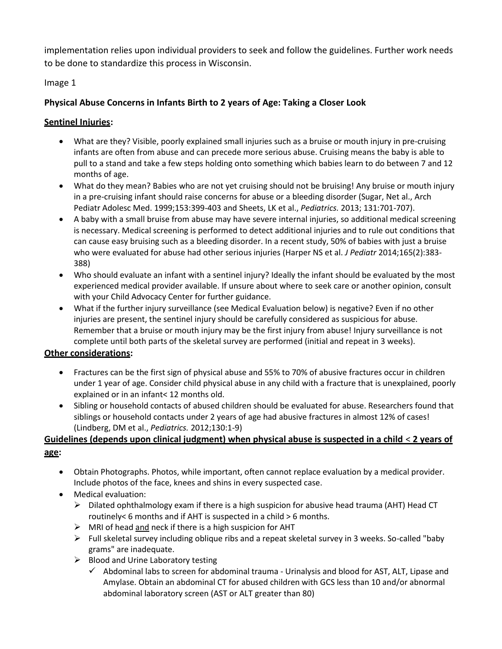implementation relies upon individual providers to seek and follow the guidelines. Further work needs to be done to standardize this process in Wisconsin.

#### Image 1

#### **Physical Abuse Concerns in Infants Birth to 2 years of Age: Taking a Closer Look**

#### **Sentinel Injuries:**

- What are they? Visible, poorly explained small injuries such as a bruise or mouth injury in pre-cruising infants are often from abuse and can precede more serious abuse. Cruising means the baby is able to pull to a stand and take a few steps holding onto something which babies learn to do between 7 and 12 months of age.
- What do they mean? Babies who are not yet cruising should not be bruising! Any bruise or mouth injury in a pre-cruising infant should raise concerns for abuse or a bleeding disorder (Sugar, Net al., Arch Pediatr Adolesc Med. 1999;153:399-403 and Sheets, LK et al., *Pediatrics.* 2013; 131:701-707).
- A baby with a small bruise from abuse may have severe internal injuries, so additional medical screening is necessary. Medical screening is performed to detect additional injuries and to rule out conditions that can cause easy bruising such as a bleeding disorder. In a recent study, 50% of babies with just a bruise who were evaluated for abuse had other serious injuries (Harper NS et al. *J Pediatr* 2014;165(2):383- 388)
- Who should evaluate an infant with a sentinel injury? Ideally the infant should be evaluated by the most experienced medical provider available. If unsure about where to seek care or another opinion, consult with your Child Advocacy Center for further guidance.
- What if the further injury surveillance (see Medical Evaluation below) is negative? Even if no other injuries are present, the sentinel injury should be carefully considered as suspicious for abuse. Remember that a bruise or mouth injury may be the first injury from abuse! Injury surveillance is not complete until both parts of the skeletal survey are performed (initial and repeat in 3 weeks).

#### **Other considerations:**

- Fractures can be the first sign of physical abuse and 55% to 70% of abusive fractures occur in children under 1 year of age. Consider child physical abuse in any child with a fracture that is unexplained, poorly explained or in an infant< 12 months old.
- Sibling or household contacts of abused children should be evaluated for abuse. Researchers found that siblings or household contacts under 2 years of age had abusive fractures in almost 12% of cases! (Lindberg, DM et al., *Pediatrics.* 2012;130:1-9)

#### **Guidelines (depends upon clinical judgment) when physical abuse is suspected in a child** < **2 years of age:**

- Obtain Photographs. Photos, while important, often cannot replace evaluation by a medical provider. Include photos of the face, knees and shins in every suspected case.
- Medical evaluation:
	- $\triangleright$  Dilated ophthalmology exam if there is a high suspicion for abusive head trauma (AHT) Head CT routinely< 6 months and if AHT is suspected in a child > 6 months.
	- $\triangleright$  MRI of head and neck if there is a high suspicion for AHT
	- $\triangleright$  Full skeletal survey including oblique ribs and a repeat skeletal survey in 3 weeks. So-called "baby" grams" are inadequate.
	- $\triangleright$  Blood and Urine Laboratory testing
		- $\checkmark$  Abdominal labs to screen for abdominal trauma Urinalysis and blood for AST, ALT, Lipase and Amylase. Obtain an abdominal CT for abused children with GCS less than 10 and/or abnormal abdominal laboratory screen (AST or ALT greater than 80)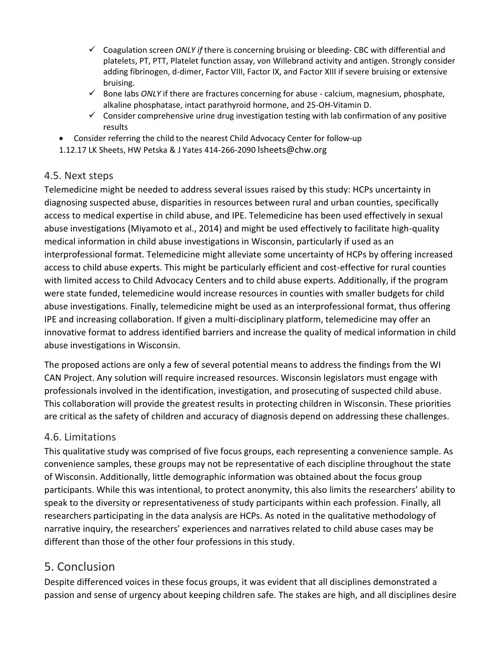- ✓ Coagulation screen *ONLY if* there is concerning bruising or bleeding- CBC with differential and platelets, PT, PTT, Platelet function assay, von Willebrand activity and antigen. Strongly consider adding fibrinogen, d-dimer, Factor VIII, Factor IX, and Factor XIII if severe bruising or extensive bruising.
- ✓ Bone labs *ONLY* if there are fractures concerning for abuse calcium, magnesium, phosphate, alkaline phosphatase, intact parathyroid hormone, and 25-OH-Vitamin D.
- $\checkmark$  Consider comprehensive urine drug investigation testing with lab confirmation of any positive results
- Consider referring the child to the nearest Child Advocacy Center for follow-up
- 1.12.17 LK Sheets, HW Petska & J Yates 414-266-2090 lsheets@chw.org

# 4.5. Next steps

Telemedicine might be needed to address several issues raised by this study: HCPs uncertainty in diagnosing suspected abuse, disparities in resources between rural and urban counties, specifically access to medical expertise in child abuse, and IPE. Telemedicine has been used effectively in sexual abuse investigations (Miyamoto et al., 2014) and might be used effectively to facilitate high-quality medical information in child abuse investigations in Wisconsin, particularly if used as an interprofessional format. Telemedicine might alleviate some uncertainty of HCPs by offering increased access to child abuse experts. This might be particularly efficient and cost-effective for rural counties with limited access to Child Advocacy Centers and to child abuse experts. Additionally, if the program were state funded, telemedicine would increase resources in counties with smaller budgets for child abuse investigations. Finally, telemedicine might be used as an interprofessional format, thus offering IPE and increasing collaboration. If given a multi-disciplinary platform, telemedicine may offer an innovative format to address identified barriers and increase the quality of medical information in child abuse investigations in Wisconsin.

The proposed actions are only a few of several potential means to address the findings from the WI CAN Project. Any solution will require increased resources. Wisconsin legislators must engage with professionals involved in the identification, investigation, and prosecuting of suspected child abuse. This collaboration will provide the greatest results in protecting children in Wisconsin. These priorities are critical as the safety of children and accuracy of diagnosis depend on addressing these challenges.

# 4.6. Limitations

This qualitative study was comprised of five focus groups, each representing a convenience sample. As convenience samples, these groups may not be representative of each discipline throughout the state of Wisconsin. Additionally, little demographic information was obtained about the focus group participants. While this was intentional, to protect anonymity, this also limits the researchers' ability to speak to the diversity or representativeness of study participants within each profession. Finally, all researchers participating in the data analysis are HCPs. As noted in the qualitative methodology of narrative inquiry, the researchers' experiences and narratives related to child abuse cases may be different than those of the other four professions in this study.

# 5. Conclusion

Despite differenced voices in these focus groups, it was evident that all disciplines demonstrated a passion and sense of urgency about keeping children safe. The stakes are high, and all disciplines desire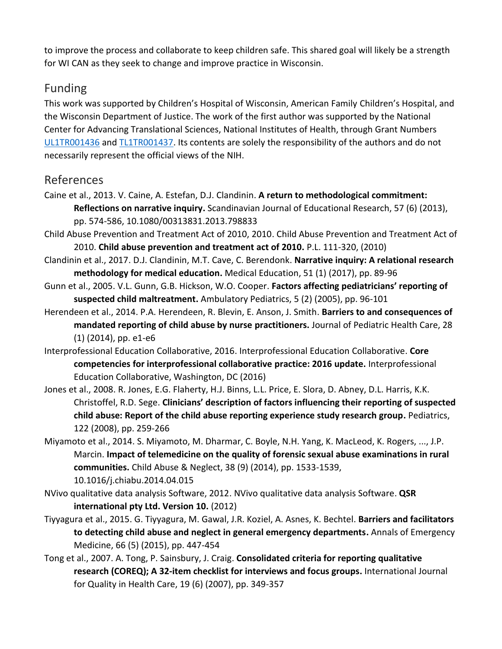to improve the process and collaborate to keep children safe. This shared goal will likely be a strength for WI CAN as they seek to change and improve practice in Wisconsin.

# Funding

This work was supported by Children's Hospital of Wisconsin, American Family Children's Hospital, and the Wisconsin Department of Justice. The work of the first author was supported by the National Center for Advancing Translational Sciences, National Institutes of Health, through Grant Numbers [UL1TR001436](https://www.sciencedirect.com/science/article/pii/S014521341930078X?via%3Dihub#gs0020) and [TL1TR001437.](https://www.sciencedirect.com/science/article/pii/S014521341930078X?via%3Dihub#gs0020) Its contents are solely the responsibility of the authors and do not necessarily represent the official views of the NIH.

# References

- Caine et al., 2013. V. Caine, A. Estefan, D.J. Clandinin. **A return to methodological commitment: Reflections on narrative inquiry.** Scandinavian Journal of Educational Research, 57 (6) (2013), pp. 574-586, 10.1080/00313831.2013.798833
- Child Abuse Prevention and Treatment Act of 2010, 2010. Child Abuse Prevention and Treatment Act of 2010. **Child abuse prevention and treatment act of 2010.** P.L. 111-320, (2010)
- Clandinin et al., 2017. D.J. Clandinin, M.T. Cave, C. Berendonk. **Narrative inquiry: A relational research methodology for medical education.** Medical Education, 51 (1) (2017), pp. 89-96
- Gunn et al., 2005. V.L. Gunn, G.B. Hickson, W.O. Cooper. **Factors affecting pediatricians' reporting of suspected child maltreatment.** Ambulatory Pediatrics, 5 (2) (2005), pp. 96-101
- Herendeen et al., 2014. P.A. Herendeen, R. Blevin, E. Anson, J. Smith. **Barriers to and consequences of mandated reporting of child abuse by nurse practitioners.** Journal of Pediatric Health Care, 28 (1) (2014), pp. e1-e6
- Interprofessional Education Collaborative, 2016. Interprofessional Education Collaborative. **Core competencies for interprofessional collaborative practice: 2016 update.** Interprofessional Education Collaborative, Washington, DC (2016)
- Jones et al., 2008. R. Jones, E.G. Flaherty, H.J. Binns, L.L. Price, E. Slora, D. Abney, D.L. Harris, K.K. Christoffel, R.D. Sege. **Clinicians' description of factors influencing their reporting of suspected child abuse: Report of the child abuse reporting experience study research group.** Pediatrics, 122 (2008), pp. 259-266
- Miyamoto et al., 2014. S. Miyamoto, M. Dharmar, C. Boyle, N.H. Yang, K. MacLeod, K. Rogers, ..., J.P. Marcin. **Impact of telemedicine on the quality of forensic sexual abuse examinations in rural communities.** Child Abuse & Neglect, 38 (9) (2014), pp. 1533-1539, 10.1016/j.chiabu.2014.04.015
- NVivo qualitative data analysis Software, 2012. NVivo qualitative data analysis Software. **QSR international pty Ltd. Version 10.** (2012)
- Tiyyagura et al., 2015. G. Tiyyagura, M. Gawal, J.R. Koziel, A. Asnes, K. Bechtel. **Barriers and facilitators to detecting child abuse and neglect in general emergency departments.** Annals of Emergency Medicine, 66 (5) (2015), pp. 447-454
- Tong et al., 2007. A. Tong, P. Sainsbury, J. Craig. **Consolidated criteria for reporting qualitative research (COREQ); A 32-item checklist for interviews and focus groups.** International Journal for Quality in Health Care, 19 (6) (2007), pp. 349-357